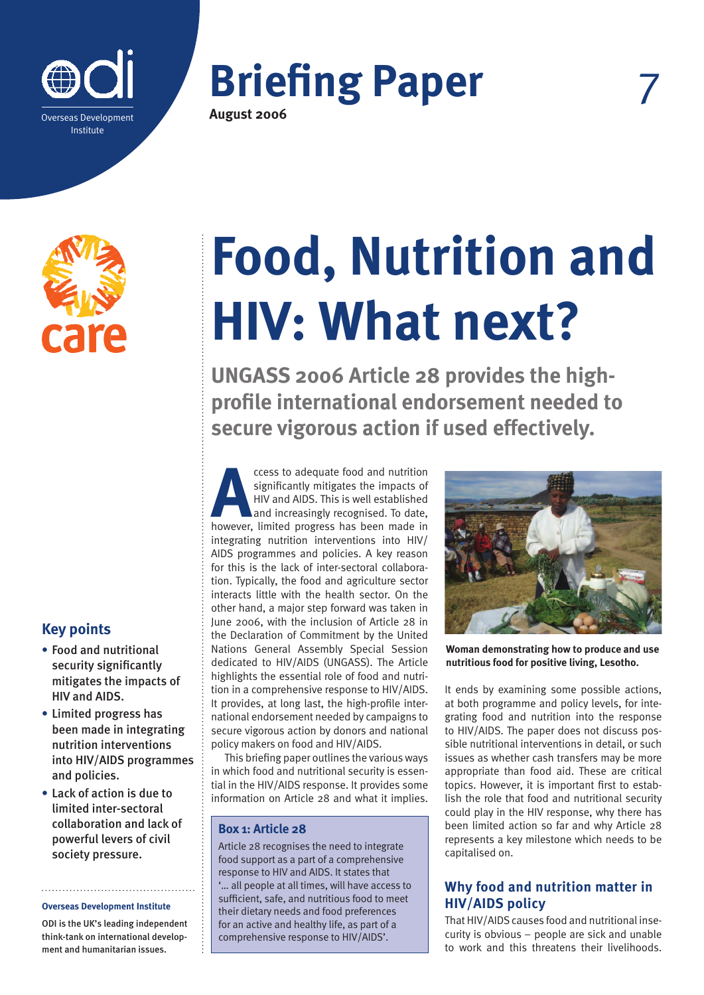

# **Briefing Paper August 2006**



# **Key points**

- **•** Food and nutritional security significantly mitigates the impacts of HIV and AIDS.
- **•** Limited progress has been made in integrating nutrition interventions into HIV/AIDS programmes and policies.
- **•** Lack of action is due to limited inter-sectoral collaboration and lack of powerful levers of civil society pressure.

#### **Overseas Development Institute**

ODI is the UK's leading independent think-tank on international development and humanitarian issues.

# **Food, Nutrition and HIV: What next?**

**UNGASS 2006 Article 28 provides the highprofile international endorsement needed to secure vigorous action if used effectively.**

**A**ccess to adequate food and nutrition significantly mitigates the impacts of HIV and AIDS. This is well established and increasingly recognised. To date, however, limited progress has been made in integrating nutrition interventions into HIV/ AIDS programmes and policies. A key reason for this is the lack of inter-sectoral collaboration. Typically, the food and agriculture sector interacts little with the health sector. On the other hand, a major step forward was taken in June 2006, with the inclusion of Article 28 in the Declaration of Commitment by the United Nations General Assembly Special Session dedicated to HIV/AIDS (UNGASS). The Article highlights the essential role of food and nutrition in a comprehensive response to HIV/AIDS. It provides, at long last, the high-profile international endorsement needed by campaigns to secure vigorous action by donors and national policy makers on food and HIV/AIDS.

This briefing paper outlines the various ways in which food and nutritional security is essential in the HIV/AIDS response. It provides some information on Article 28 and what it implies.

## **Box 1: Article 28**

Article 28 recognises the need to integrate food support as a part of a comprehensive response to HIV and AIDS. It states that '… all people at all times, will have access to sufficient, safe, and nutritious food to meet their dietary needs and food preferences for an active and healthy life, as part of a comprehensive response to HIV/AIDS'.



**Woman demonstrating how to produce and use nutritious food for positive living, Lesotho.**

It ends by examining some possible actions, at both programme and policy levels, for integrating food and nutrition into the response to HIV/AIDS. The paper does not discuss possible nutritional interventions in detail, or such issues as whether cash transfers may be more appropriate than food aid. These are critical topics. However, it is important first to establish the role that food and nutritional security could play in the HIV response, why there has been limited action so far and why Article 28 represents a key milestone which needs to be capitalised on.

# **Why food and nutrition matter in HIV/AIDS policy**

That HIV/AIDS causes food and nutritional insecurity is obvious – people are sick and unable to work and this threatens their livelihoods.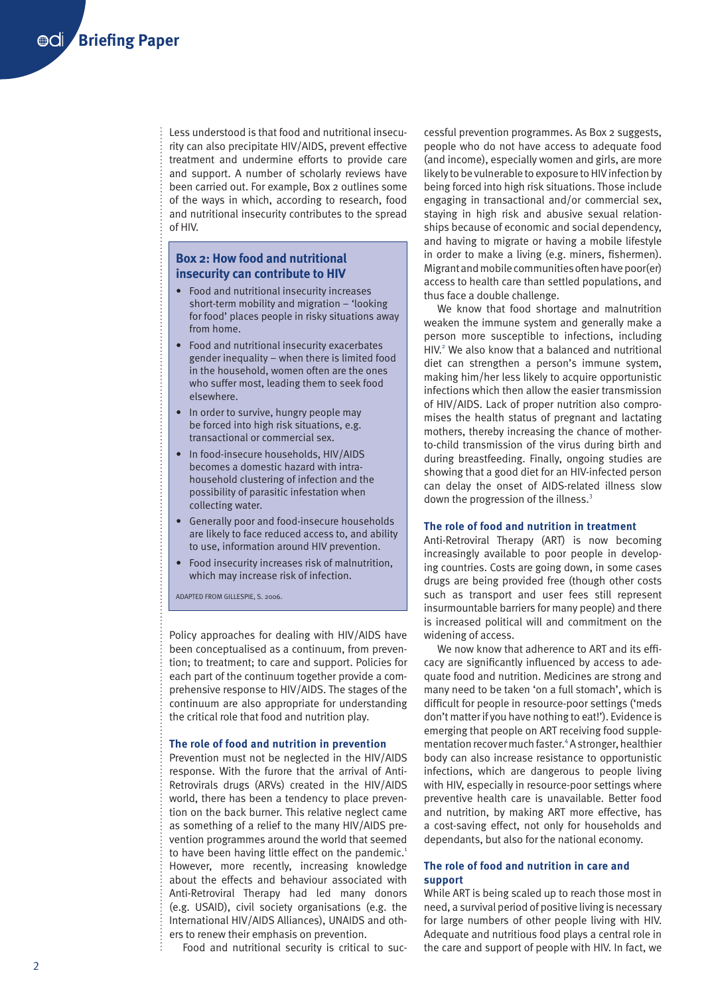Less understood is that food and nutritional insecurity can also precipitate HIV/AIDS, prevent effective treatment and undermine efforts to provide care and support. A number of scholarly reviews have been carried out. For example, Box 2 outlines some of the ways in which, according to research, food and nutritional insecurity contributes to the spread of HIV.

#### **Box 2: How food and nutritional insecurity can contribute to HIV**

- Food and nutritional insecurity increases short-term mobility and migration – 'looking for food' places people in risky situations away from home.
- Food and nutritional insecurity exacerbates gender inequality – when there is limited food in the household, women often are the ones who suffer most, leading them to seek food elsewhere.
- In order to survive, hungry people may be forced into high risk situations, e.g. transactional or commercial sex.
- In food-insecure households, HIV/AIDS becomes a domestic hazard with intrahousehold clustering of infection and the possibility of parasitic infestation when collecting water.
- Generally poor and food-insecure households are likely to face reduced access to, and ability to use, information around HIV prevention.
- Food insecurity increases risk of malnutrition, which may increase risk of infection.

ADAPTED FROM GILLESPIE, S. 2006.

Policy approaches for dealing with HIV/AIDS have been conceptualised as a continuum, from prevention; to treatment; to care and support. Policies for each part of the continuum together provide a comprehensive response to HIV/AIDS. The stages of the continuum are also appropriate for understanding the critical role that food and nutrition play.

#### **The role of food and nutrition in prevention**

Prevention must not be neglected in the HIV/AIDS response. With the furore that the arrival of Anti-Retrovirals drugs (ARVs) created in the HIV/AIDS world, there has been a tendency to place prevention on the back burner. This relative neglect came as something of a relief to the many HIV/AIDS prevention programmes around the world that seemed to have been having little effect on the pandemic.<sup>1</sup> However, more recently, increasing knowledge about the effects and behaviour associated with Anti-Retroviral Therapy had led many donors (e.g. USAID), civil society organisations (e.g. the International HIV/AIDS Alliances), UNAIDS and others to renew their emphasis on prevention.

Food and nutritional security is critical to suc-

cessful prevention programmes. As Box 2 suggests, people who do not have access to adequate food (and income), especially women and girls, are more likely to be vulnerable to exposure to HIV infection by being forced into high risk situations. Those include engaging in transactional and/or commercial sex, staying in high risk and abusive sexual relationships because of economic and social dependency, and having to migrate or having a mobile lifestyle in order to make a living (e.g. miners, fishermen). Migrant and mobile communities often have poor(er) access to health care than settled populations, and thus face a double challenge.

We know that food shortage and malnutrition weaken the immune system and generally make a person more susceptible to infections, including HIV.<sup>2</sup> We also know that a balanced and nutritional diet can strengthen a person's immune system, making him/her less likely to acquire opportunistic infections which then allow the easier transmission of HIV/AIDS. Lack of proper nutrition also compromises the health status of pregnant and lactating mothers, thereby increasing the chance of motherto-child transmission of the virus during birth and during breastfeeding. Finally, ongoing studies are showing that a good diet for an HIV-infected person can delay the onset of AIDS-related illness slow down the progression of the illness.<sup>3</sup>

#### **The role of food and nutrition in treatment**

Anti-Retroviral Therapy (ART) is now becoming increasingly available to poor people in developing countries. Costs are going down, in some cases drugs are being provided free (though other costs such as transport and user fees still represent insurmountable barriers for many people) and there is increased political will and commitment on the widening of access.

We now know that adherence to ART and its efficacy are significantly influenced by access to adequate food and nutrition. Medicines are strong and many need to be taken 'on a full stomach', which is difficult for people in resource-poor settings ('meds don't matter if you have nothing to eat!'). Evidence is emerging that people on ART receiving food supplementation recover much faster.<sup>4</sup> A stronger, healthier body can also increase resistance to opportunistic infections, which are dangerous to people living with HIV, especially in resource-poor settings where preventive health care is unavailable. Better food and nutrition, by making ART more effective, has a cost-saving effect, not only for households and dependants, but also for the national economy.

#### **The role of food and nutrition in care and support**

While ART is being scaled up to reach those most in need, a survival period of positive living is necessary for large numbers of other people living with HIV. Adequate and nutritious food plays a central role in the care and support of people with HIV. In fact, we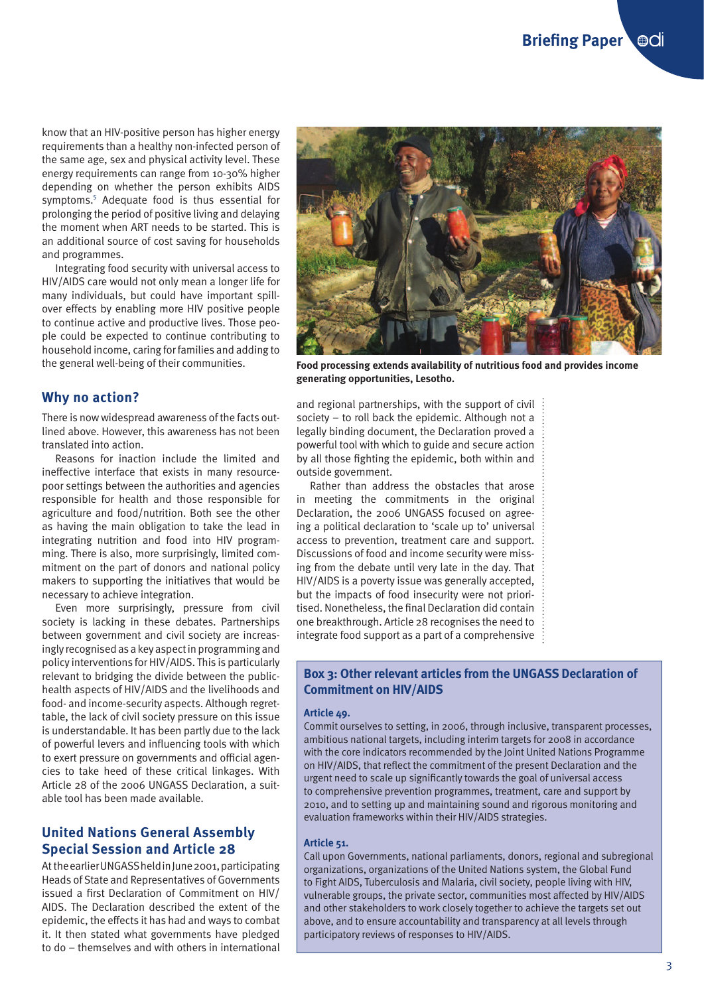know that an HIV-positive person has higher energy requirements than a healthy non-infected person of the same age, sex and physical activity level. These energy requirements can range from 10-30% higher depending on whether the person exhibits AIDS symptoms.<sup>5</sup> Adequate food is thus essential for prolonging the period of positive living and delaying the moment when ART needs to be started. This is an additional source of cost saving for households and programmes.

Integrating food security with universal access to HIV/AIDS care would not only mean a longer life for many individuals, but could have important spillover effects by enabling more HIV positive people to continue active and productive lives. Those people could be expected to continue contributing to household income, caring for families and adding to the general well-being of their communities.

## **Why no action?**

There is now widespread awareness of the facts outlined above. However, this awareness has not been translated into action.

Reasons for inaction include the limited and ineffective interface that exists in many resourcepoor settings between the authorities and agencies responsible for health and those responsible for agriculture and food/nutrition. Both see the other as having the main obligation to take the lead in integrating nutrition and food into HIV programming. There is also, more surprisingly, limited commitment on the part of donors and national policy makers to supporting the initiatives that would be necessary to achieve integration.

Even more surprisingly, pressure from civil society is lacking in these debates. Partnerships between government and civil society are increasingly recognised as a key aspect in programming and policy interventions for HIV/AIDS. This is particularly relevant to bridging the divide between the publichealth aspects of HIV/AIDS and the livelihoods and food- and income-security aspects. Although regrettable, the lack of civil society pressure on this issue is understandable. It has been partly due to the lack of powerful levers and influencing tools with which to exert pressure on governments and official agencies to take heed of these critical linkages. With Article 28 of the 2006 UNGASS Declaration, a suitable tool has been made available.

# **United Nations General Assembly Special Session and Article 28**

At the earlier UNGASS held in June 2001, participating Heads of State and Representatives of Governments issued a first Declaration of Commitment on HIV/ AIDS. The Declaration described the extent of the epidemic, the effects it has had and ways to combat it. It then stated what governments have pledged to do – themselves and with others in international



**Food processing extends availability of nutritious food and provides income generating opportunities, Lesotho.**

and regional partnerships, with the support of civil society – to roll back the epidemic. Although not a legally binding document, the Declaration proved a powerful tool with which to guide and secure action by all those fighting the epidemic, both within and outside government.

Rather than address the obstacles that arose in meeting the commitments in the original Declaration, the 2006 UNGASS focused on agreeing a political declaration to 'scale up to' universal access to prevention, treatment care and support. Discussions of food and income security were missing from the debate until very late in the day. That HIV/AIDS is a poverty issue was generally accepted, but the impacts of food insecurity were not prioritised. Nonetheless, the final Declaration did contain one breakthrough. Article 28 recognises the need to integrate food support as a part of a comprehensive

#### **Box 3: Other relevant articles from the UNGASS Declaration of Commitment on HIV/AIDS**

#### **Article 49.**

Commit ourselves to setting, in 2006, through inclusive, transparent processes, ambitious national targets, including interim targets for 2008 in accordance with the core indicators recommended by the Joint United Nations Programme on HIV/AIDS, that reflect the commitment of the present Declaration and the urgent need to scale up significantly towards the goal of universal access to comprehensive prevention programmes, treatment, care and support by 2010, and to setting up and maintaining sound and rigorous monitoring and evaluation frameworks within their HIV/AIDS strategies.

#### **Article 51.**

Call upon Governments, national parliaments, donors, regional and subregional organizations, organizations of the United Nations system, the Global Fund to Fight AIDS, Tuberculosis and Malaria, civil society, people living with HIV, vulnerable groups, the private sector, communities most affected by HIV/AIDS and other stakeholders to work closely together to achieve the targets set out above, and to ensure accountability and transparency at all levels through participatory reviews of responses to HIV/AIDS.